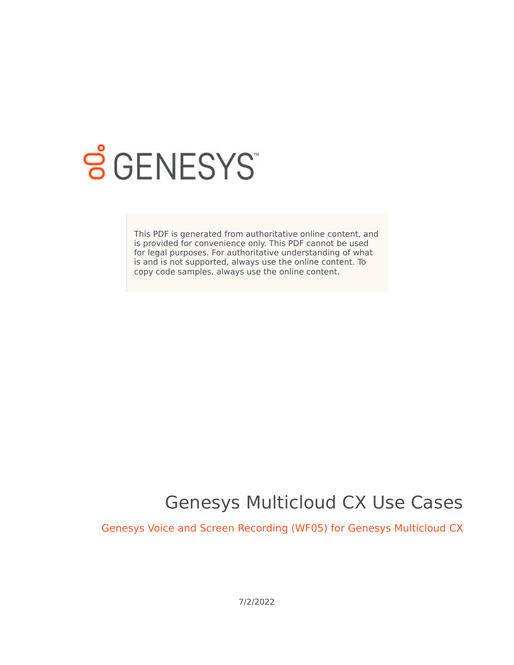

# **S** GENESYS

This PDF is generated from authoritative online content, and is provided for convenience only. This PDF cannot be used for legal purposes. For authoritative understanding of what is and is not supported, always use the online content. To copy code samples, always use the online content.

## Genesys Multicloud CX Use Cases

Genesys Voice and Screen Recording (WF05) for Genesys Multicloud CX

7/2/2022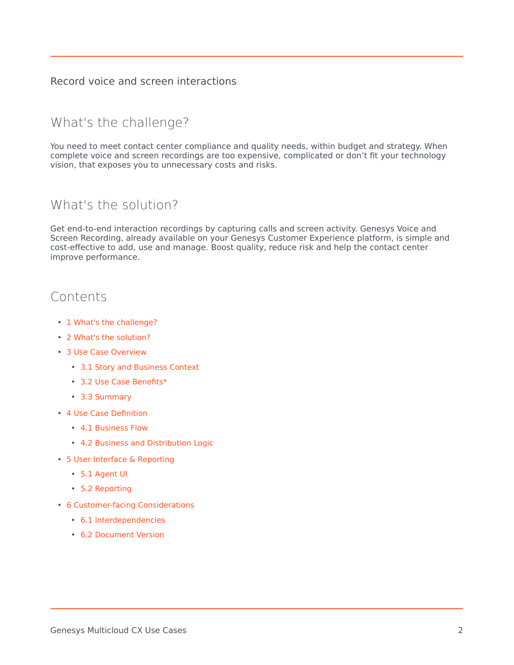#### Record voice and screen interactions

## <span id="page-1-0"></span>What's the challenge?

You need to meet contact center compliance and quality needs, within budget and strategy. When complete voice and screen recordings are too expensive, complicated or don't fit your technology vision, that exposes you to unnecessary costs and risks.

### <span id="page-1-1"></span>What's the solution?

Get end-to-end interaction recordings by capturing calls and screen activity. Genesys Voice and Screen Recording, already available on your Genesys Customer Experience platform, is simple and cost-effective to add, use and manage. Boost quality, reduce risk and help the contact center improve performance.

## Contents

- 1 [What's the challenge?](#page-1-0)
- 2 [What's the solution?](#page-1-1)
- 3 [Use Case Overview](#page-2-0)
	- 3.1 [Story and Business Context](#page-2-1)
	- 3.2 [Use Case Benefits\\*](#page-2-2)
	- 3.3 [Summary](#page-2-3)
- 4 [Use Case Definition](#page-2-4)
	- 4.1 [Business Flow](#page-2-5)
	- 4.2 [Business and Distribution Logic](#page-4-0)
- 5 [User Interface & Reporting](#page-5-0) 
	- 5.1 [Agent UI](#page-5-1)
	- 5.2 [Reporting](#page-5-2)
- 6 [Customer-facing Considerations](#page-6-0)
	- 6.1 [Interdependencies](#page-6-1)
	- 6.2 [Document Version](#page-6-2)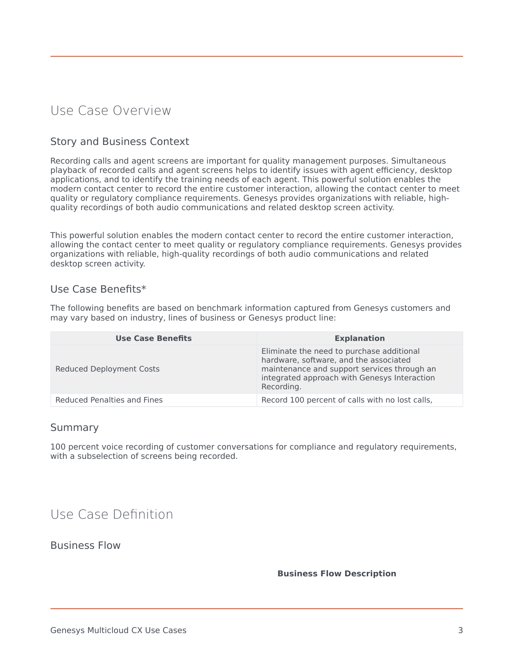## <span id="page-2-0"></span>Use Case Overview

#### <span id="page-2-1"></span>Story and Business Context

Recording calls and agent screens are important for quality management purposes. Simultaneous playback of recorded calls and agent screens helps to identify issues with agent efficiency, desktop applications, and to identify the training needs of each agent. This powerful solution enables the modern contact center to record the entire customer interaction, allowing the contact center to meet quality or regulatory compliance requirements. Genesys provides organizations with reliable, highquality recordings of both audio communications and related desktop screen activity.

This powerful solution enables the modern contact center to record the entire customer interaction, allowing the contact center to meet quality or regulatory compliance requirements. Genesys provides organizations with reliable, high-quality recordings of both audio communications and related desktop screen activity.

#### <span id="page-2-2"></span>Use Case Benefits\*

The following benefits are based on benchmark information captured from Genesys customers and may vary based on industry, lines of business or Genesys product line:

| <b>Use Case Benefits</b>    | <b>Explanation</b>                                                                                                                                                                               |
|-----------------------------|--------------------------------------------------------------------------------------------------------------------------------------------------------------------------------------------------|
| Reduced Deployment Costs    | Eliminate the need to purchase additional<br>hardware, software, and the associated<br>maintenance and support services through an<br>integrated approach with Genesys Interaction<br>Recording. |
| Reduced Penalties and Fines | Record 100 percent of calls with no lost calls,                                                                                                                                                  |

#### <span id="page-2-3"></span>Summary

100 percent voice recording of customer conversations for compliance and regulatory requirements, with a subselection of screens being recorded.

## <span id="page-2-4"></span>Use Case Definition

<span id="page-2-5"></span>Business Flow

#### **Business Flow Description**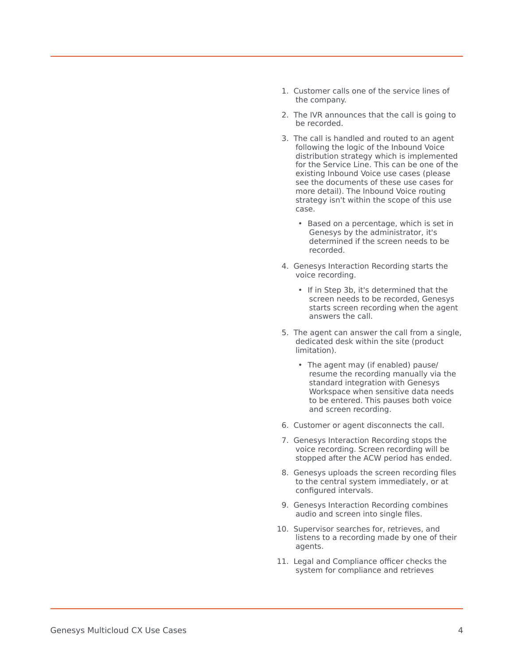- 1. Customer calls one of the service lines of the company.
- 2. The IVR announces that the call is going to be recorded.
- 3. The call is handled and routed to an agent following the logic of the Inbound Voice distribution strategy which is implemented for the Service Line. This can be one of the existing Inbound Voice use cases (please see the documents of these use cases for more detail). The Inbound Voice routing strategy isn't within the scope of this use case.
	- Based on a percentage, which is set in Genesys by the administrator, it's determined if the screen needs to be recorded.
- 4. Genesys Interaction Recording starts the voice recording.
	- If in Step 3b, it's determined that the screen needs to be recorded, Genesys starts screen recording when the agent answers the call.
- 5. The agent can answer the call from a single, dedicated desk within the site (product limitation).
	- The agent may (if enabled) pause/ resume the recording manually via the standard integration with Genesys Workspace when sensitive data needs to be entered. This pauses both voice and screen recording.
- 6. Customer or agent disconnects the call.
- 7. Genesys Interaction Recording stops the voice recording. Screen recording will be stopped after the ACW period has ended.
- 8. Genesys uploads the screen recording files to the central system immediately, or at configured intervals.
- 9. Genesys Interaction Recording combines audio and screen into single files.
- 10. Supervisor searches for, retrieves, and listens to a recording made by one of their agents.
- 11. Legal and Compliance officer checks the system for compliance and retrieves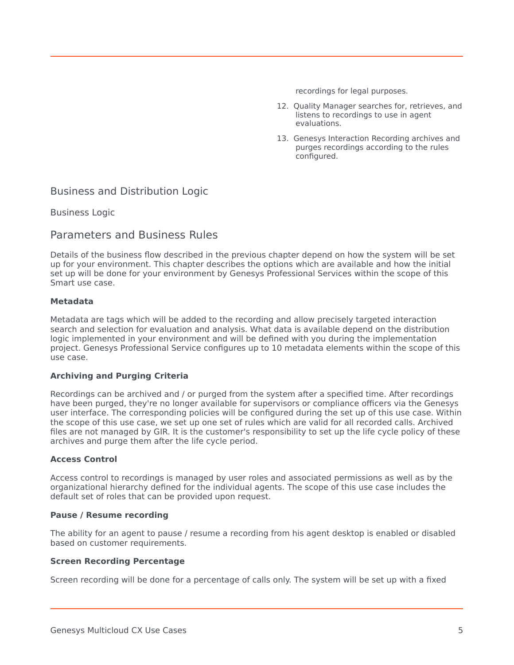recordings for legal purposes.

- 12. Quality Manager searches for, retrieves, and listens to recordings to use in agent evaluations.
- 13. Genesys Interaction Recording archives and purges recordings according to the rules configured.

#### <span id="page-4-0"></span>Business and Distribution Logic

Business Logic

#### Parameters and Business Rules

Details of the business flow described in the previous chapter depend on how the system will be set up for your environment. This chapter describes the options which are available and how the initial set up will be done for your environment by Genesys Professional Services within the scope of this Smart use case.

#### **Metadata**

Metadata are tags which will be added to the recording and allow precisely targeted interaction search and selection for evaluation and analysis. What data is available depend on the distribution logic implemented in your environment and will be defined with you during the implementation project. Genesys Professional Service configures up to 10 metadata elements within the scope of this use case.

#### **Archiving and Purging Criteria**

Recordings can be archived and / or purged from the system after a specified time. After recordings have been purged, they're no longer available for supervisors or compliance officers via the Genesys user interface. The corresponding policies will be configured during the set up of this use case. Within the scope of this use case, we set up one set of rules which are valid for all recorded calls. Archived files are not managed by GIR. It is the customer's responsibility to set up the life cycle policy of these archives and purge them after the life cycle period.

#### **Access Control**

Access control to recordings is managed by user roles and associated permissions as well as by the organizational hierarchy defined for the individual agents. The scope of this use case includes the default set of roles that can be provided upon request.

#### **Pause / Resume recording**

The ability for an agent to pause / resume a recording from his agent desktop is enabled or disabled based on customer requirements.

#### **Screen Recording Percentage**

Screen recording will be done for a percentage of calls only. The system will be set up with a fixed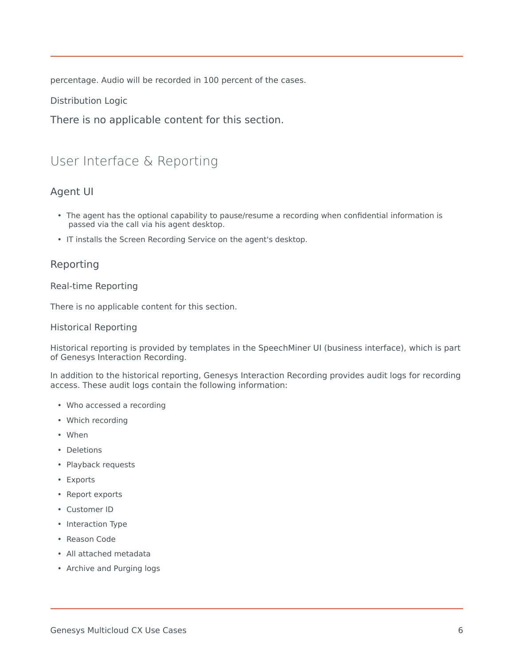percentage. Audio will be recorded in 100 percent of the cases.

Distribution Logic

There is no applicable content for this section.

## <span id="page-5-0"></span>User Interface & Reporting

#### <span id="page-5-1"></span>Agent UI

- The agent has the optional capability to pause/resume a recording when confidential information is passed via the call via his agent desktop.
- IT installs the Screen Recording Service on the agent's desktop.

#### <span id="page-5-2"></span>Reporting

#### Real-time Reporting

There is no applicable content for this section.

#### Historical Reporting

Historical reporting is provided by templates in the SpeechMiner UI (business interface), which is part of Genesys Interaction Recording.

In addition to the historical reporting, Genesys Interaction Recording provides audit logs for recording access. These audit logs contain the following information:

- Who accessed a recording
- Which recording
- When
- Deletions
- Playback requests
- Exports
- Report exports
- Customer ID
- Interaction Type
- Reason Code
- All attached metadata
- Archive and Purging logs